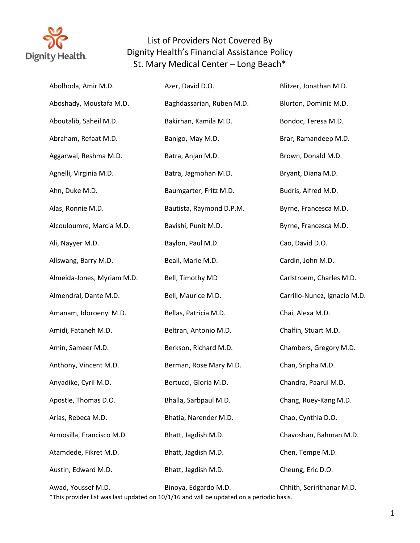

| Abolhoda, Amir M.D.        | Azer, David D.O.                                                                                                 | Blitzer, Jonathan M.D.       |
|----------------------------|------------------------------------------------------------------------------------------------------------------|------------------------------|
| Aboshady, Moustafa M.D.    | Baghdassarian, Ruben M.D.                                                                                        | Blurton, Dominic M.D.        |
| Aboutalib, Saheil M.D.     | Bakirhan, Kamila M.D.                                                                                            | Bondoc, Teresa M.D.          |
| Abraham, Refaat M.D.       | Banigo, May M.D.                                                                                                 | Brar, Ramandeep M.D.         |
| Aggarwal, Reshma M.D.      | Batra, Anjan M.D.                                                                                                | Brown, Donald M.D.           |
| Agnelli, Virginia M.D.     | Batra, Jagmohan M.D.                                                                                             | Bryant, Diana M.D.           |
| Ahn, Duke M.D.             | Baumgarter, Fritz M.D.                                                                                           | Budris, Alfred M.D.          |
| Alas, Ronnie M.D.          | Bautista, Raymond D.P.M.                                                                                         | Byrne, Francesca M.D.        |
| Alcouloumre, Marcia M.D.   | Bavishi, Punit M.D.                                                                                              | Byrne, Francesca M.D.        |
| Ali, Nayyer M.D.           | Baylon, Paul M.D.                                                                                                | Cao, David D.O.              |
| Allswang, Barry M.D.       | Beall, Marie M.D.                                                                                                | Cardin, John M.D.            |
| Almeida-Jones, Myriam M.D. | Bell, Timothy MD                                                                                                 | Carlstroem, Charles M.D.     |
| Almendral, Dante M.D.      | Bell, Maurice M.D.                                                                                               | Carrillo-Nunez, Ignacio M.D. |
| Amanam, Idoroenyi M.D.     | Bellas, Patricia M.D.                                                                                            | Chai, Alexa M.D.             |
| Amidi, Fataneh M.D.        | Beltran, Antonio M.D.                                                                                            | Chalfin, Stuart M.D.         |
| Amin, Sameer M.D.          | Berkson, Richard M.D.                                                                                            | Chambers, Gregory M.D.       |
| Anthony, Vincent M.D.      | Berman, Rose Mary M.D.                                                                                           | Chan, Sripha M.D.            |
| Anyadike, Cyril M.D.       | Bertucci, Gloria M.D.                                                                                            | Chandra, Paarul M.D.         |
| Apostle, Thomas D.O.       | Bhalla, Sarbpaul M.D.                                                                                            | Chang, Ruey-Kang M.D.        |
| Arias, Rebeca M.D.         | Bhatia, Narender M.D.                                                                                            | Chao, Cynthia D.O.           |
| Armosilla, Francisco M.D.  | Bhatt, Jagdish M.D.                                                                                              | Chavoshan, Bahman M.D.       |
| Atamdede, Fikret M.D.      | Bhatt, Jagdish M.D.                                                                                              | Chen, Tempe M.D.             |
| Austin, Edward M.D.        | Bhatt, Jagdish M.D.                                                                                              | Cheung, Eric D.O.            |
| Awad, Youssef M.D.         | Binoya, Edgardo M.D.<br>*This provider list was last updated on 10/1/16 and will be updated on a periodic basis. | Chhith, Seririthanar M.D.    |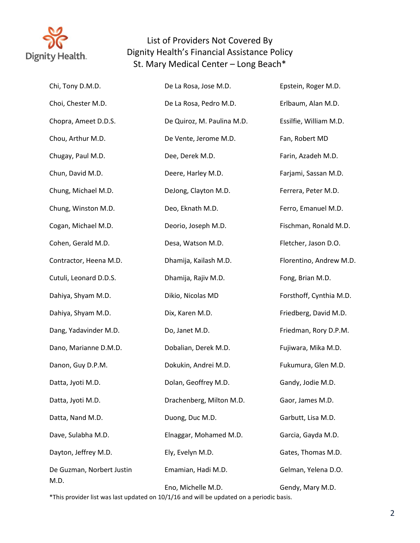

| Chi, Tony D.M.D.          | De La Rosa, Jose M.D.                                                                   | Epstein, Roger M.D.     |
|---------------------------|-----------------------------------------------------------------------------------------|-------------------------|
| Choi, Chester M.D.        | De La Rosa, Pedro M.D.                                                                  | Erlbaum, Alan M.D.      |
| Chopra, Ameet D.D.S.      | De Quiroz, M. Paulina M.D.                                                              | Essilfie, William M.D.  |
| Chou, Arthur M.D.         | De Vente, Jerome M.D.                                                                   | Fan, Robert MD          |
| Chugay, Paul M.D.         | Dee, Derek M.D.                                                                         | Farin, Azadeh M.D.      |
| Chun, David M.D.          | Deere, Harley M.D.                                                                      | Farjami, Sassan M.D.    |
| Chung, Michael M.D.       | DeJong, Clayton M.D.                                                                    | Ferrera, Peter M.D.     |
| Chung, Winston M.D.       | Deo, Eknath M.D.                                                                        | Ferro, Emanuel M.D.     |
| Cogan, Michael M.D.       | Deorio, Joseph M.D.                                                                     | Fischman, Ronald M.D.   |
| Cohen, Gerald M.D.        | Desa, Watson M.D.                                                                       | Fletcher, Jason D.O.    |
| Contractor, Heena M.D.    | Dhamija, Kailash M.D.                                                                   | Florentino, Andrew M.D. |
| Cutuli, Leonard D.D.S.    | Dhamija, Rajiv M.D.                                                                     | Fong, Brian M.D.        |
| Dahiya, Shyam M.D.        | Dikio, Nicolas MD                                                                       | Forsthoff, Cynthia M.D. |
| Dahiya, Shyam M.D.        | Dix, Karen M.D.                                                                         | Friedberg, David M.D.   |
| Dang, Yadavinder M.D.     | Do, Janet M.D.                                                                          | Friedman, Rory D.P.M.   |
| Dano, Marianne D.M.D.     | Dobalian, Derek M.D.                                                                    | Fujiwara, Mika M.D.     |
| Danon, Guy D.P.M.         | Dokukin, Andrei M.D.                                                                    | Fukumura, Glen M.D.     |
| Datta, Jyoti M.D.         | Dolan, Geoffrey M.D.                                                                    | Gandy, Jodie M.D.       |
| Datta, Jyoti M.D.         | Drachenberg, Milton M.D.                                                                | Gaor, James M.D.        |
| Datta, Nand M.D.          | Duong, Duc M.D.                                                                         | Garbutt, Lisa M.D.      |
| Dave, Sulabha M.D.        | Elnaggar, Mohamed M.D.                                                                  | Garcia, Gayda M.D.      |
| Dayton, Jeffrey M.D.      | Ely, Evelyn M.D.                                                                        | Gates, Thomas M.D.      |
| De Guzman, Norbert Justin | Emamian, Hadi M.D.                                                                      | Gelman, Yelena D.O.     |
|                           | Eno, Michelle M.D.                                                                      | Gendy, Mary M.D.        |
| M.D.                      | *This provider list was last undated on 10/1/16 and will be undated on a periodic hasis |                         |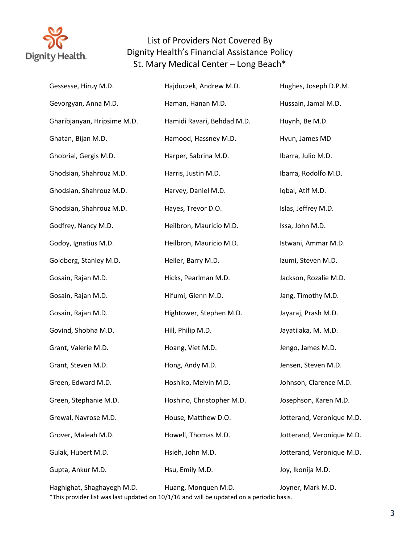

| Gessesse, Hiruy M.D.        | Hajduczek, Andrew M.D.     | Hughes, Joseph D.P.M.     |
|-----------------------------|----------------------------|---------------------------|
| Gevorgyan, Anna M.D.        | Haman, Hanan M.D.          | Hussain, Jamal M.D.       |
| Gharibjanyan, Hripsime M.D. | Hamidi Ravari, Behdad M.D. | Huynh, Be M.D.            |
| Ghatan, Bijan M.D.          | Hamood, Hassney M.D.       | Hyun, James MD            |
| Ghobrial, Gergis M.D.       | Harper, Sabrina M.D.       | Ibarra, Julio M.D.        |
| Ghodsian, Shahrouz M.D.     | Harris, Justin M.D.        | Ibarra, Rodolfo M.D.      |
| Ghodsian, Shahrouz M.D.     | Harvey, Daniel M.D.        | Iqbal, Atif M.D.          |
| Ghodsian, Shahrouz M.D.     | Hayes, Trevor D.O.         | Islas, Jeffrey M.D.       |
| Godfrey, Nancy M.D.         | Heilbron, Mauricio M.D.    | Issa, John M.D.           |
| Godoy, Ignatius M.D.        | Heilbron, Mauricio M.D.    | Istwani, Ammar M.D.       |
| Goldberg, Stanley M.D.      | Heller, Barry M.D.         | Izumi, Steven M.D.        |
| Gosain, Rajan M.D.          | Hicks, Pearlman M.D.       | Jackson, Rozalie M.D.     |
| Gosain, Rajan M.D.          | Hifumi, Glenn M.D.         | Jang, Timothy M.D.        |
| Gosain, Rajan M.D.          | Hightower, Stephen M.D.    | Jayaraj, Prash M.D.       |
| Govind, Shobha M.D.         | Hill, Philip M.D.          | Jayatilaka, M. M.D.       |
| Grant, Valerie M.D.         | Hoang, Viet M.D.           | Jengo, James M.D.         |
| Grant, Steven M.D.          | Hong, Andy M.D.            | Jensen, Steven M.D.       |
| Green, Edward M.D.          | Hoshiko, Melvin M.D.       | Johnson, Clarence M.D.    |
| Green, Stephanie M.D.       | Hoshino, Christopher M.D.  | Josephson, Karen M.D.     |
| Grewal, Navrose M.D.        | House, Matthew D.O.        | Jotterand, Veronique M.D. |
| Grover, Maleah M.D.         | Howell, Thomas M.D.        | Jotterand, Veronique M.D. |
| Gulak, Hubert M.D.          | Hsieh, John M.D.           | Jotterand, Veronique M.D. |
| Gupta, Ankur M.D.           | Hsu, Emily M.D.            | Joy, Ikonija M.D.         |
| Haghighat, Shaghayegh M.D.  | Huang, Monquen M.D.        | Joyner, Mark M.D.         |

\*This provider list was last updated on 10/1/16 and will be updated on a periodic basis.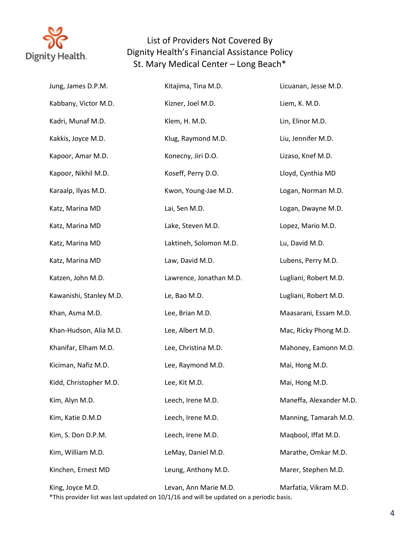

| Jung, James D.P.M.      | Kitajima, Tina M.D.                                                                                               | Licuanan, Jesse M.D.    |
|-------------------------|-------------------------------------------------------------------------------------------------------------------|-------------------------|
| Kabbany, Victor M.D.    | Kizner, Joel M.D.                                                                                                 | Liem, K. M.D.           |
| Kadri, Munaf M.D.       | Klem, H. M.D.                                                                                                     | Lin, Elinor M.D.        |
| Kakkis, Joyce M.D.      | Klug, Raymond M.D.                                                                                                | Liu, Jennifer M.D.      |
| Kapoor, Amar M.D.       | Konecny, Jiri D.O.                                                                                                | Lizaso, Knef M.D.       |
| Kapoor, Nikhil M.D.     | Koseff, Perry D.O.                                                                                                | Lloyd, Cynthia MD       |
| Karaalp, Ilyas M.D.     | Kwon, Young-Jae M.D.                                                                                              | Logan, Norman M.D.      |
| Katz, Marina MD         | Lai, Sen M.D.                                                                                                     | Logan, Dwayne M.D.      |
| Katz, Marina MD         | Lake, Steven M.D.                                                                                                 | Lopez, Mario M.D.       |
| Katz, Marina MD         | Laktineh, Solomon M.D.                                                                                            | Lu, David M.D.          |
| Katz, Marina MD         | Law, David M.D.                                                                                                   | Lubens, Perry M.D.      |
| Katzen, John M.D.       | Lawrence, Jonathan M.D.                                                                                           | Lugliani, Robert M.D.   |
| Kawanishi, Stanley M.D. | Le, Bao M.D.                                                                                                      | Lugliani, Robert M.D.   |
| Khan, Asma M.D.         | Lee, Brian M.D.                                                                                                   | Maasarani, Essam M.D.   |
| Khan-Hudson, Alia M.D.  | Lee, Albert M.D.                                                                                                  | Mac, Ricky Phong M.D.   |
| Khanifar, Elham M.D.    | Lee, Christina M.D.                                                                                               | Mahoney, Eamonn M.D.    |
| Kiciman, Nafiz M.D.     | Lee, Raymond M.D.                                                                                                 | Mai, Hong M.D.          |
| Kidd, Christopher M.D.  | Lee, Kit M.D.                                                                                                     | Mai, Hong M.D.          |
| Kim, Alyn M.D.          | Leech, Irene M.D.                                                                                                 | Maneffa, Alexander M.D. |
| Kim, Katie D.M.D        | Leech, Irene M.D.                                                                                                 | Manning, Tamarah M.D.   |
| Kim, S. Don D.P.M.      | Leech, Irene M.D.                                                                                                 | Maqbool, Iffat M.D.     |
| Kim, William M.D.       | LeMay, Daniel M.D.                                                                                                | Marathe, Omkar M.D.     |
| Kinchen, Ernest MD      | Leung, Anthony M.D.                                                                                               | Marer, Stephen M.D.     |
| King, Joyce M.D.        | Levan, Ann Marie M.D.<br>*This provider list was last updated on 10/1/16 and will be updated on a periodic basis. | Marfatia, Vikram M.D.   |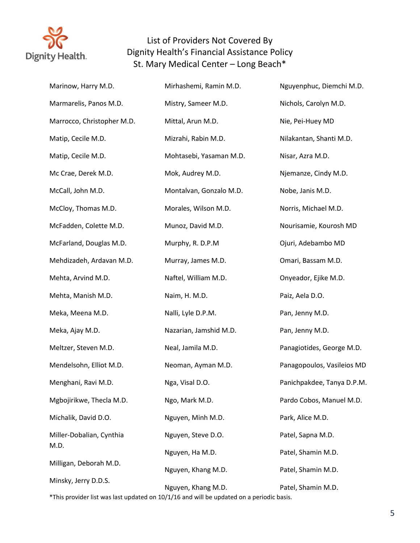

| Marinow, Harry M.D.        | Mirhashemi, Ramin M.D.                                                                   | Nguyenphuc, Diemchi M.D.   |
|----------------------------|------------------------------------------------------------------------------------------|----------------------------|
| Marmarelis, Panos M.D.     | Mistry, Sameer M.D.                                                                      | Nichols, Carolyn M.D.      |
| Marrocco, Christopher M.D. | Mittal, Arun M.D.                                                                        | Nie, Pei-Huey MD           |
| Matip, Cecile M.D.         | Mizrahi, Rabin M.D.                                                                      | Nilakantan, Shanti M.D.    |
| Matip, Cecile M.D.         | Mohtasebi, Yasaman M.D.                                                                  | Nisar, Azra M.D.           |
| Mc Crae, Derek M.D.        | Mok, Audrey M.D.                                                                         | Njemanze, Cindy M.D.       |
| McCall, John M.D.          | Montalvan, Gonzalo M.D.                                                                  | Nobe, Janis M.D.           |
| McCloy, Thomas M.D.        | Morales, Wilson M.D.                                                                     | Norris, Michael M.D.       |
| McFadden, Colette M.D.     | Munoz, David M.D.                                                                        | Nourisamie, Kourosh MD     |
| McFarland, Douglas M.D.    | Murphy, R. D.P.M                                                                         | Ojuri, Adebambo MD         |
| Mehdizadeh, Ardavan M.D.   | Murray, James M.D.                                                                       | Omari, Bassam M.D.         |
| Mehta, Arvind M.D.         | Naftel, William M.D.                                                                     | Onyeador, Ejike M.D.       |
| Mehta, Manish M.D.         | Naim, H. M.D.                                                                            | Paiz, Aela D.O.            |
| Meka, Meena M.D.           | Nalli, Lyle D.P.M.                                                                       | Pan, Jenny M.D.            |
| Meka, Ajay M.D.            | Nazarian, Jamshid M.D.                                                                   | Pan, Jenny M.D.            |
| Meltzer, Steven M.D.       | Neal, Jamila M.D.                                                                        | Panagiotides, George M.D.  |
| Mendelsohn, Elliot M.D.    | Neoman, Ayman M.D.                                                                       | Panagopoulos, Vasileios MD |
| Menghani, Ravi M.D.        | Nga, Visal D.O.                                                                          | Panichpakdee, Tanya D.P.M. |
| Mgbojirikwe, Thecla M.D.   | Ngo, Mark M.D.                                                                           | Pardo Cobos, Manuel M.D.   |
| Michalik, David D.O.       | Nguyen, Minh M.D.                                                                        | Park, Alice M.D.           |
| Miller-Dobalian, Cynthia   | Nguyen, Steve D.O.                                                                       | Patel, Sapna M.D.          |
| M.D.                       | Nguyen, Ha M.D.                                                                          | Patel, Shamin M.D.         |
| Milligan, Deborah M.D.     | Nguyen, Khang M.D.                                                                       | Patel, Shamin M.D.         |
| Minsky, Jerry D.D.S.       | Nguyen, Khang M.D.                                                                       | Patel, Shamin M.D.         |
|                            | *This provider list was last updated on 10/1/16 and will be updated on a periodic basis. |                            |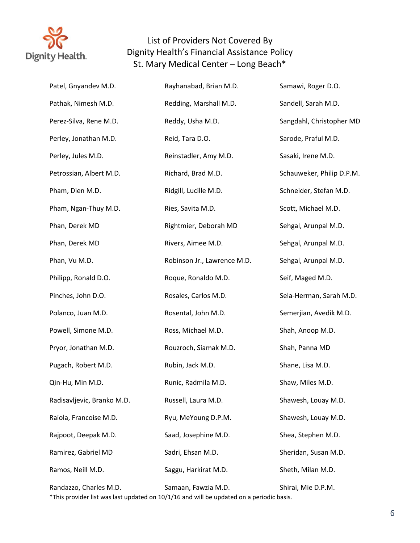

| Patel, Gnyandev M.D.       | Rayhanabad, Brian M.D.                                                                                          | Samawi, Roger D.O.        |
|----------------------------|-----------------------------------------------------------------------------------------------------------------|---------------------------|
| Pathak, Nimesh M.D.        | Redding, Marshall M.D.                                                                                          | Sandell, Sarah M.D.       |
| Perez-Silva, Rene M.D.     | Reddy, Usha M.D.                                                                                                | Sangdahl, Christopher MD  |
| Perley, Jonathan M.D.      | Reid, Tara D.O.                                                                                                 | Sarode, Praful M.D.       |
| Perley, Jules M.D.         | Reinstadler, Amy M.D.                                                                                           | Sasaki, Irene M.D.        |
| Petrossian, Albert M.D.    | Richard, Brad M.D.                                                                                              | Schauweker, Philip D.P.M. |
| Pham, Dien M.D.            | Ridgill, Lucille M.D.                                                                                           | Schneider, Stefan M.D.    |
| Pham, Ngan-Thuy M.D.       | Ries, Savita M.D.                                                                                               | Scott, Michael M.D.       |
| Phan, Derek MD             | Rightmier, Deborah MD                                                                                           | Sehgal, Arunpal M.D.      |
| Phan, Derek MD             | Rivers, Aimee M.D.                                                                                              | Sehgal, Arunpal M.D.      |
| Phan, Vu M.D.              | Robinson Jr., Lawrence M.D.                                                                                     | Sehgal, Arunpal M.D.      |
| Philipp, Ronald D.O.       | Roque, Ronaldo M.D.                                                                                             | Seif, Maged M.D.          |
| Pinches, John D.O.         | Rosales, Carlos M.D.                                                                                            | Sela-Herman, Sarah M.D.   |
| Polanco, Juan M.D.         | Rosental, John M.D.                                                                                             | Semerjian, Avedik M.D.    |
| Powell, Simone M.D.        | Ross, Michael M.D.                                                                                              | Shah, Anoop M.D.          |
| Pryor, Jonathan M.D.       | Rouzroch, Siamak M.D.                                                                                           | Shah, Panna MD            |
| Pugach, Robert M.D.        | Rubin, Jack M.D.                                                                                                | Shane, Lisa M.D.          |
| Qin-Hu, Min M.D.           | Runic, Radmila M.D.                                                                                             | Shaw, Miles M.D.          |
| Radisavljevic, Branko M.D. | Russell, Laura M.D.                                                                                             | Shawesh, Louay M.D.       |
| Raiola, Francoise M.D.     | Ryu, MeYoung D.P.M.                                                                                             | Shawesh, Louay M.D.       |
| Rajpoot, Deepak M.D.       | Saad, Josephine M.D.                                                                                            | Shea, Stephen M.D.        |
| Ramirez, Gabriel MD        | Sadri, Ehsan M.D.                                                                                               | Sheridan, Susan M.D.      |
| Ramos, Neill M.D.          | Saggu, Harkirat M.D.                                                                                            | Sheth, Milan M.D.         |
| Randazzo, Charles M.D.     | Samaan, Fawzia M.D.<br>*This provider list was last updated on 10/1/16 and will be updated on a periodic basis. | Shirai, Mie D.P.M.        |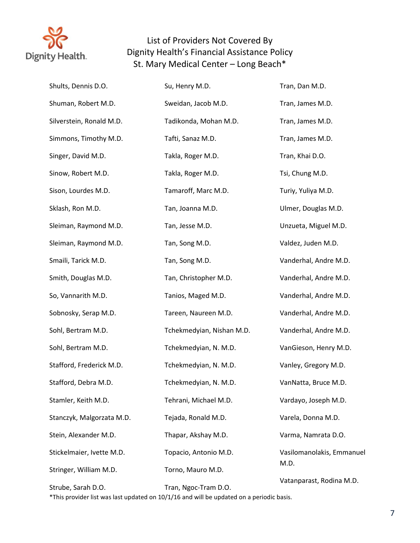

| Shults, Dennis D.O.       | Su, Henry M.D.                                                                                         | Tran, Dan M.D.            |
|---------------------------|--------------------------------------------------------------------------------------------------------|---------------------------|
| Shuman, Robert M.D.       | Sweidan, Jacob M.D.                                                                                    | Tran, James M.D.          |
| Silverstein, Ronald M.D.  | Tadikonda, Mohan M.D.                                                                                  | Tran, James M.D.          |
| Simmons, Timothy M.D.     | Tafti, Sanaz M.D.                                                                                      | Tran, James M.D.          |
| Singer, David M.D.        | Takla, Roger M.D.                                                                                      | Tran, Khai D.O.           |
| Sinow, Robert M.D.        | Takla, Roger M.D.                                                                                      | Tsi, Chung M.D.           |
| Sison, Lourdes M.D.       | Tamaroff, Marc M.D.                                                                                    | Turiy, Yuliya M.D.        |
| Sklash, Ron M.D.          | Tan, Joanna M.D.                                                                                       | Ulmer, Douglas M.D.       |
| Sleiman, Raymond M.D.     | Tan, Jesse M.D.                                                                                        | Unzueta, Miguel M.D.      |
| Sleiman, Raymond M.D.     | Tan, Song M.D.                                                                                         | Valdez, Juden M.D.        |
| Smaili, Tarick M.D.       | Tan, Song M.D.                                                                                         | Vanderhal, Andre M.D.     |
| Smith, Douglas M.D.       | Tan, Christopher M.D.                                                                                  | Vanderhal, Andre M.D.     |
| So, Vannarith M.D.        | Tanios, Maged M.D.                                                                                     | Vanderhal, Andre M.D.     |
| Sobnosky, Serap M.D.      | Tareen, Naureen M.D.                                                                                   | Vanderhal, Andre M.D.     |
| Sohl, Bertram M.D.        | Tchekmedyian, Nishan M.D.                                                                              | Vanderhal, Andre M.D.     |
| Sohl, Bertram M.D.        | Tchekmedyian, N. M.D.                                                                                  | VanGieson, Henry M.D.     |
| Stafford, Frederick M.D.  | Tchekmedyian, N. M.D.                                                                                  | Vanley, Gregory M.D.      |
| Stafford, Debra M.D.      | Tchekmedyian, N. M.D.                                                                                  | VanNatta, Bruce M.D.      |
| Stamler, Keith M.D.       | Tehrani, Michael M.D.                                                                                  | Vardayo, Joseph M.D.      |
| Stanczyk, Malgorzata M.D. | Tejada, Ronald M.D.                                                                                    | Varela, Donna M.D.        |
| Stein, Alexander M.D.     | Thapar, Akshay M.D.                                                                                    | Varma, Namrata D.O.       |
| Stickelmaier, Ivette M.D. | Topacio, Antonio M.D.                                                                                  | Vasilomanolakis, Emmanuel |
| Stringer, William M.D.    | Torno, Mauro M.D.                                                                                      | M.D.                      |
| Strube, Sarah D.O.        | Tran, Ngoc-Tram D.O.<br>ider liet was last undeted on 10/1/16 and will be undeted on a nexic die besie | Vatanparast, Rodina M.D.  |

This provider list was last updated on  $10/1/16$  and will be updated on a periodic basis.